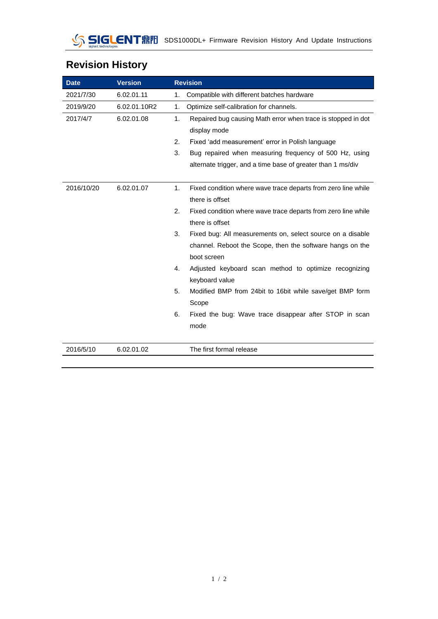| <b>Revision History</b> |  |
|-------------------------|--|
|-------------------------|--|

| <b>Date</b> | <b>Version</b> | <b>Revision</b>                                                     |
|-------------|----------------|---------------------------------------------------------------------|
| 2021/7/30   | 6.02.01.11     | Compatible with different batches hardware<br>1.                    |
| 2019/9/20   | 6.02.01.10R2   | 1.<br>Optimize self-calibration for channels.                       |
| 2017/4/7    | 6.02.01.08     | 1.<br>Repaired bug causing Math error when trace is stopped in dot  |
|             |                | display mode                                                        |
|             |                | 2.<br>Fixed 'add measurement' error in Polish language              |
|             |                | 3.<br>Bug repaired when measuring frequency of 500 Hz, using        |
|             |                | alternate trigger, and a time base of greater than 1 ms/div         |
|             |                |                                                                     |
| 2016/10/20  | 6.02.01.07     | Fixed condition where wave trace departs from zero line while<br>1. |
|             |                | there is offset                                                     |
|             |                | 2.<br>Fixed condition where wave trace departs from zero line while |
|             |                | there is offset                                                     |
|             |                | 3.<br>Fixed bug: All measurements on, select source on a disable    |
|             |                | channel. Reboot the Scope, then the software hangs on the           |
|             |                | boot screen                                                         |
|             |                | Adjusted keyboard scan method to optimize recognizing<br>4.         |
|             |                | keyboard value                                                      |
|             |                | Modified BMP from 24bit to 16bit while save/get BMP form<br>5.      |
|             |                | Scope                                                               |
|             |                | 6.<br>Fixed the bug: Wave trace disappear after STOP in scan        |
|             |                | mode                                                                |
|             |                |                                                                     |
| 2016/5/10   | 6.02.01.02     | The first formal release                                            |